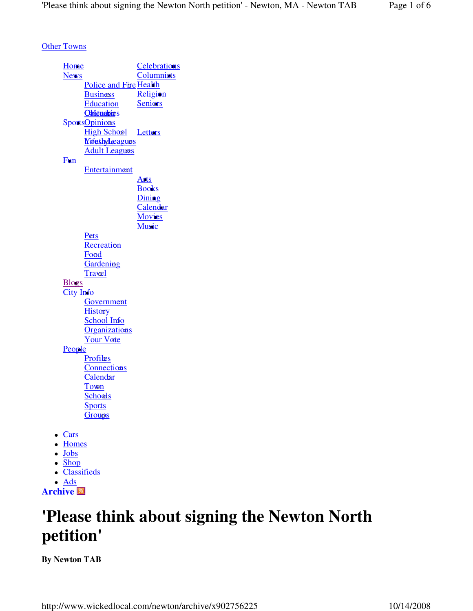**Other Towns** 

**Home**  News Police and Fire Health **Business Education** Oblituabit s SportsOpinions **Letters** <u>Nifestylæagues</u> **Celebrations**  Columnists **Religion Seniors** High School **Adult Leagues**  Fun Entertainment **Arts**  Books **Dining**  Calendar **Movies Music** Pets **Recreation** Fo<mark>o</mark>d **Gardening** Travel **Blogs** City Info **Government History** School Info **Organizations** Your Vote **People** Profiles **Connections** Calendar Town <u>Schools</u> **Sports Groups** • Cars • Homes • Jobs • Shop Classifieds

 Ads **Archive**

# **'Please think about signing the Newton North petition'**

**By Newton TAB**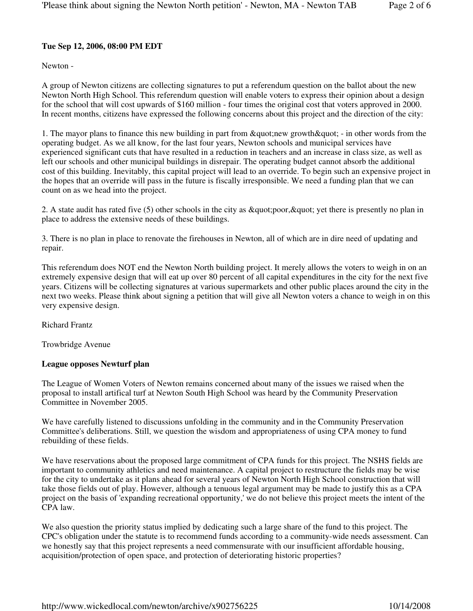#### **Tue Sep 12, 2006, 08:00 PM EDT**

Newton -

A group of Newton citizens are collecting signatures to put a referendum question on the ballot about the new Newton North High School. This referendum question will enable voters to express their opinion about a design for the school that will cost upwards of \$160 million - four times the original cost that voters approved in 2000. In recent months, citizens have expressed the following concerns about this project and the direction of the city:

1. The mayor plans to finance this new building in part from " new growth " - in other words from the operating budget. As we all know, for the last four years, Newton schools and municipal services have experienced significant cuts that have resulted in a reduction in teachers and an increase in class size, as well as left our schools and other municipal buildings in disrepair. The operating budget cannot absorb the additional cost of this building. Inevitably, this capital project will lead to an override. To begin such an expensive project in the hopes that an override will pass in the future is fiscally irresponsible. We need a funding plan that we can count on as we head into the project.

2. A state audit has rated five (5) other schools in the city as " poor, " yet there is presently no plan in place to address the extensive needs of these buildings.

3. There is no plan in place to renovate the firehouses in Newton, all of which are in dire need of updating and repair.

This referendum does NOT end the Newton North building project. It merely allows the voters to weigh in on an extremely expensive design that will eat up over 80 percent of all capital expenditures in the city for the next five years. Citizens will be collecting signatures at various supermarkets and other public places around the city in the next two weeks. Please think about signing a petition that will give all Newton voters a chance to weigh in on this very expensive design.

Richard Frantz

Trowbridge Avenue

#### **League opposes Newturf plan**

The League of Women Voters of Newton remains concerned about many of the issues we raised when the proposal to install artifical turf at Newton South High School was heard by the Community Preservation Committee in November 2005.

We have carefully listened to discussions unfolding in the community and in the Community Preservation Committee's deliberations. Still, we question the wisdom and appropriateness of using CPA money to fund rebuilding of these fields.

We have reservations about the proposed large commitment of CPA funds for this project. The NSHS fields are important to community athletics and need maintenance. A capital project to restructure the fields may be wise for the city to undertake as it plans ahead for several years of Newton North High School construction that will take those fields out of play. However, although a tenuous legal argument may be made to justify this as a CPA project on the basis of 'expanding recreational opportunity,' we do not believe this project meets the intent of the CPA law.

We also question the priority status implied by dedicating such a large share of the fund to this project. The CPC's obligation under the statute is to recommend funds according to a community-wide needs assessment. Can we honestly say that this project represents a need commensurate with our insufficient affordable housing, acquisition/protection of open space, and protection of deteriorating historic properties?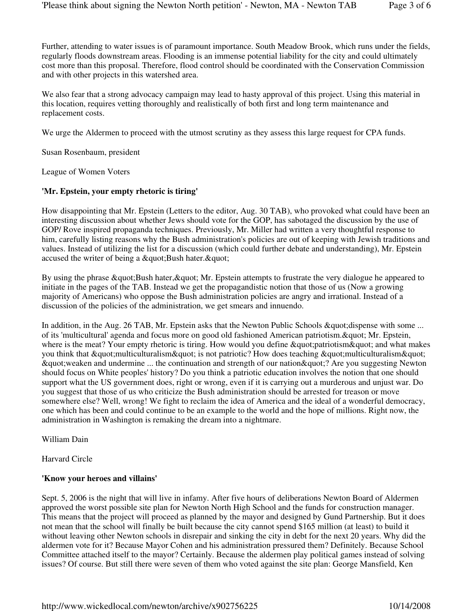Further, attending to water issues is of paramount importance. South Meadow Brook, which runs under the fields, regularly floods downstream areas. Flooding is an immense potential liability for the city and could ultimately cost more than this proposal. Therefore, flood control should be coordinated with the Conservation Commission and with other projects in this watershed area.

We also fear that a strong advocacy campaign may lead to hasty approval of this project. Using this material in this location, requires vetting thoroughly and realistically of both first and long term maintenance and replacement costs.

We urge the Aldermen to proceed with the utmost scrutiny as they assess this large request for CPA funds.

Susan Rosenbaum, president

League of Women Voters

#### **'Mr. Epstein, your empty rhetoric is tiring'**

How disappointing that Mr. Epstein (Letters to the editor, Aug. 30 TAB), who provoked what could have been an interesting discussion about whether Jews should vote for the GOP, has sabotaged the discussion by the use of GOP/ Rove inspired propaganda techniques. Previously, Mr. Miller had written a very thoughtful response to him, carefully listing reasons why the Bush administration's policies are out of keeping with Jewish traditions and values. Instead of utilizing the list for a discussion (which could further debate and understanding), Mr. Epstein accused the writer of being a " Bush hater. "

By using the phrase " Bush hater, " Mr. Epstein attempts to frustrate the very dialogue he appeared to initiate in the pages of the TAB. Instead we get the propagandistic notion that those of us (Now a growing majority of Americans) who oppose the Bush administration policies are angry and irrational. Instead of a discussion of the policies of the administration, we get smears and innuendo.

In addition, in the Aug. 26 TAB, Mr. Epstein asks that the Newton Public Schools & quot; dispense with some ... of its 'multicultural' agenda and focus more on good old fashioned American patriotism. & quot; Mr. Epstein, where is the meat? Your empty rhetoric is tiring. How would you define  $\&$  quot; patriotism $\&$  quot; and what makes you think that "multiculturalism" is not patriotic? How does teaching "multiculturalism"  $\&$ quot; weaken and undermine ... the continuation and strength of our nation $\&$ quot; ? Are you suggesting Newton should focus on White peoples' history? Do you think a patriotic education involves the notion that one should support what the US government does, right or wrong, even if it is carrying out a murderous and unjust war. Do you suggest that those of us who criticize the Bush administration should be arrested for treason or move somewhere else? Well, wrong! We fight to reclaim the idea of America and the ideal of a wonderful democracy, one which has been and could continue to be an example to the world and the hope of millions. Right now, the administration in Washington is remaking the dream into a nightmare.

William Dain

Harvard Circle

#### **'Know your heroes and villains'**

Sept. 5, 2006 is the night that will live in infamy. After five hours of deliberations Newton Board of Aldermen approved the worst possible site plan for Newton North High School and the funds for construction manager. This means that the project will proceed as planned by the mayor and designed by Gund Partnership. But it does not mean that the school will finally be built because the city cannot spend \$165 million (at least) to build it without leaving other Newton schools in disrepair and sinking the city in debt for the next 20 years. Why did the aldermen vote for it? Because Mayor Cohen and his administration pressured them? Definitely. Because School Committee attached itself to the mayor? Certainly. Because the aldermen play political games instead of solving issues? Of course. But still there were seven of them who voted against the site plan: George Mansfield, Ken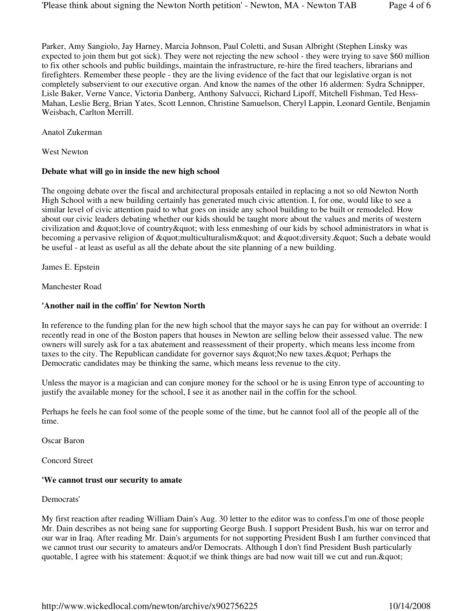Parker, Amy Sangiolo, Jay Harney, Marcia Johnson, Paul Coletti, and Susan Albright (Stephen Linsky was expected to join them but got sick). They were not rejecting the new school - they were trying to save \$60 million to fix other schools and public buildings, maintain the infrastructure, re-hire the fired teachers, librarians and firefighters. Remember these people - they are the living evidence of the fact that our legislative organ is not completely subservient to our executive organ. And know the names of the other 16 aldermen: Sydra Schnipper, Lisle Baker, Verne Vance, Victoria Danberg, Anthony Salvucci, Richard Lipoff, Mitchell Fishman, Ted Hess-Mahan, Leslie Berg, Brian Yates, Scott Lennon, Christine Samuelson, Cheryl Lappin, Leonard Gentile, Benjamin Weisbach, Carlton Merrill.

Anatol Zukerman

West Newton

#### **Debate what will go in inside the new high school**

The ongoing debate over the fiscal and architectural proposals entailed in replacing a not so old Newton North High School with a new building certainly has generated much civic attention. I, for one, would like to see a similar level of civic attention paid to what goes on inside any school building to be built or remodeled. How about our civic leaders debating whether our kids should be taught more about the values and merits of western civilization and "love of country" with less enmeshing of our kids by school administrators in what is becoming a pervasive religion of "multiculturalism" and "diversity. " Such a debate would be useful - at least as useful as all the debate about the site planning of a new building.

James E. Epstein

Manchester Road

#### **'Another nail in the coffin' for Newton North**

In reference to the funding plan for the new high school that the mayor says he can pay for without an override: I recently read in one of the Boston papers that houses in Newton are selling below their assessed value. The new owners will surely ask for a tax abatement and reassessment of their property, which means less income from taxes to the city. The Republican candidate for governor says  $\&$  quot: No new taxes.  $\&$  quot: Perhaps the Democratic candidates may be thinking the same, which means less revenue to the city.

Unless the mayor is a magician and can conjure money for the school or he is using Enron type of accounting to justify the available money for the school, I see it as another nail in the coffin for the school.

Perhaps he feels he can fool some of the people some of the time, but he cannot fool all of the people all of the time.

Oscar Baron

Concord Street

#### **'We cannot trust our security to amate**

Democrats'

My first reaction after reading William Dain's Aug. 30 letter to the editor was to confess.I'm one of those people Mr. Dain describes as not being sane for supporting George Bush. I support President Bush, his war on terror and our war in Iraq. After reading Mr. Dain's arguments for not supporting President Bush I am further convinced that we cannot trust our security to amateurs and/or Democrats. Although I don't find President Bush particularly quotable, I agree with his statement: "if we think things are bad now wait till we cut and run. "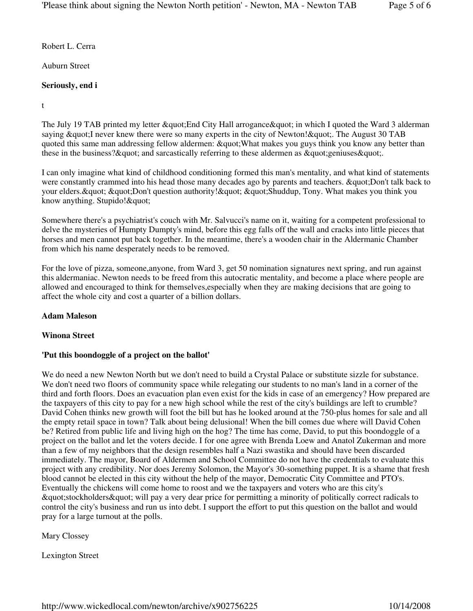Robert L. Cerra

Auburn Street

## **Seriously, end i**

t

The July 19 TAB printed my letter " End City Hall arrogance " in which I quoted the Ward 3 alderman saying " I never knew there were so many experts in the city of Newton! ". The August 30 TAB quoted this same man addressing fellow aldermen: " What makes you guys think you know any better than these in the business?  $\&$ quot; and sarcastically referring to these aldermen as  $\&$ quot; geniuses $\&$ quot;.

I can only imagine what kind of childhood conditioning formed this man's mentality, and what kind of statements were constantly crammed into his head those many decades ago by parents and teachers. "Don't talk back to your elders. & quot; & quot; Don't question authority! & quot; & quot; Shuddup, Tony. What makes you think you know anything. Stupido! & quot;

Somewhere there's a psychiatrist's couch with Mr. Salvucci's name on it, waiting for a competent professional to delve the mysteries of Humpty Dumpty's mind, before this egg falls off the wall and cracks into little pieces that horses and men cannot put back together. In the meantime, there's a wooden chair in the Aldermanic Chamber from which his name desperately needs to be removed.

For the love of pizza, someone,anyone, from Ward 3, get 50 nomination signatures next spring, and run against this aldermaniac. Newton needs to be freed from this autocratic mentality, and become a place where people are allowed and encouraged to think for themselves,especially when they are making decisions that are going to affect the whole city and cost a quarter of a billion dollars.

#### **Adam Maleson**

#### **Winona Street**

#### **'Put this boondoggle of a project on the ballot'**

We do need a new Newton North but we don't need to build a Crystal Palace or substitute sizzle for substance. We don't need two floors of community space while relegating our students to no man's land in a corner of the third and forth floors. Does an evacuation plan even exist for the kids in case of an emergency? How prepared are the taxpayers of this city to pay for a new high school while the rest of the city's buildings are left to crumble? David Cohen thinks new growth will foot the bill but has he looked around at the 750-plus homes for sale and all the empty retail space in town? Talk about being delusional! When the bill comes due where will David Cohen be? Retired from public life and living high on the hog? The time has come, David, to put this boondoggle of a project on the ballot and let the voters decide. I for one agree with Brenda Loew and Anatol Zukerman and more than a few of my neighbors that the design resembles half a Nazi swastika and should have been discarded immediately. The mayor, Board of Aldermen and School Committee do not have the credentials to evaluate this project with any credibility. Nor does Jeremy Solomon, the Mayor's 30-something puppet. It is a shame that fresh blood cannot be elected in this city without the help of the mayor, Democratic City Committee and PTO's. Eventually the chickens will come home to roost and we the taxpayers and voters who are this city's "stockholders" will pay a very dear price for permitting a minority of politically correct radicals to control the city's business and run us into debt. I support the effort to put this question on the ballot and would pray for a large turnout at the polls.

Mary Clossey

Lexington Street